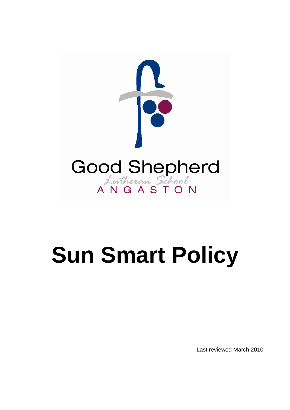

# **Sun Smart Policy**

Last reviewed March 2010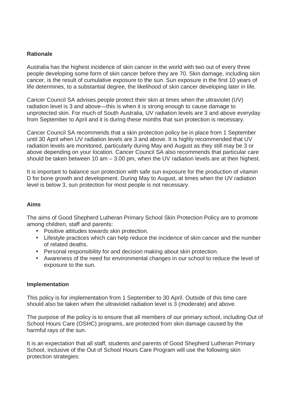## **Rationale**

Australia has the highest incidence of skin cancer in the world with two out of every three people developing some form of skin cancer before they are 70. Skin damage, including skin cancer, is the result of cumulative exposure to the sun. Sun exposure in the first 10 years of life determines, to a substantial degree, the likelihood of skin cancer developing later in life.

Cancer Council SA advises people protect their skin at times when the ultraviolet (UV) radiation level is 3 and above—this is when it is strong enough to cause damage to unprotected skin. For much of South Australia, UV radiation levels are 3 and above everyday from September to April and it is during these months that sun protection is necessary.

Cancer Council SA recommends that a skin protection policy be in place from 1 September until 30 April when UV radiation levels are 3 and above. It is highly recommended that UV radiation levels are monitored, particularly during May and August as they still may be 3 or above depending on your location. Cancer Council SA also recommends that particular care should be taken between 10 am  $-$  3.00 pm, when the UV radiation levels are at their highest.

It is important to balance sun protection with safe sun exposure for the production of vitamin D for bone growth and development. During May to August, at times when the UV radiation level is below 3, sun protection for most people is not necessary.

### **Aims**

The aims of Good Shepherd Lutheran Primary School Skin Protection Policy are to promote among children, staff and parents:

- Positive attitudes towards skin protection.
- Lifestyle practices which can help reduce the incidence of skin cancer and the number of related deaths.
- Personal responsibility for and decision making about skin protection.
- Awareness of the need for environmental changes in our school to reduce the level of exposure to the sun.

#### **Implementation**

This policy is for implementation from 1 September to 30 April. Outside of this time care should also be taken when the ultraviolet radiation level is 3 (moderate) and above.

The purpose of the policy is to ensure that all members of our primary school, including Out of School Hours Care (OSHC) programs, are protected from skin damage caused by the harmful rays of the sun.

It is an expectation that all staff, students and parents of Good Shepherd Lutheran Primary School, inclusive of the Out of School Hours Care Program will use the following skin protection strategies: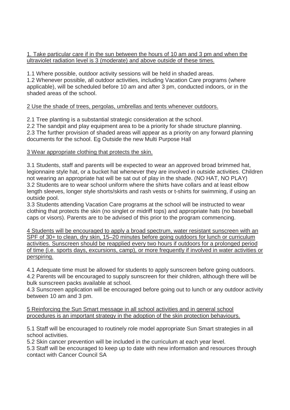1. Take particular care if in the sun between the hours of 10 am and 3 pm and when the ultraviolet radiation level is 3 (moderate) and above outside of these times.

1.1 Where possible, outdoor activity sessions will be held in shaded areas. 1.2 Whenever possible, all outdoor activities, including Vacation Care programs (where applicable), will be scheduled before 10 am and after 3 pm, conducted indoors, or in the shaded areas of the school.

## 2 Use the shade of trees, pergolas, umbrellas and tents whenever outdoors.

2.1 Tree planting is a substantial strategic consideration at the school.

2.2 The sandpit and play equipment area to be a priority for shade structure planning. 2.3 The further provision of shaded areas will appear as a priority on any forward planning documents for the school. Eg Outside the new Multi Purpose Hall

3 Wear appropriate clothing that protects the skin.

3.1 Students, staff and parents will be expected to wear an approved broad brimmed hat, legionnaire style hat, or a bucket hat whenever they are involved in outside activities. Children not wearing an appropriate hat will be sat out of play in the shade. (NO HAT, NO PLAY) 3.2 Students are to wear school uniform where the shirts have collars and at least elbow length sleeves, longer style shorts/skirts and rash vests or t-shirts for swimming, if using an outside pool.

3.3 Students attending Vacation Care programs at the school will be instructed to wear clothing that protects the skin (no singlet or midriff tops) and appropriate hats (no baseball caps or visors). Parents are to be advised of this prior to the program commencing.

4 Students will be encouraged to apply a broad spectrum, water resistant sunscreen with an SPF of 30+ to clean, dry skin, 15–20 minutes before going outdoors for lunch or curriculum activities. Sunscreen should be reapplied every two hours if outdoors for a prolonged period of time (i.e. sports days, excursions, camp), or more frequently if involved in water activities or perspiring.

4.1 Adequate time must be allowed for students to apply sunscreen before going outdoors. 4.2 Parents will be encouraged to supply sunscreen for their children, although there will be bulk sunscreen packs available at school.

4.3 Sunscreen application will be encouraged before going out to lunch or any outdoor activity between 10 am and 3 pm.

5 Reinforcing the Sun Smart message in all school activities and in general school procedures is an important strategy in the adoption of the skin protection behaviours.

5.1 Staff will be encouraged to routinely role model appropriate Sun Smart strategies in all school activities.

5.2 Skin cancer prevention will be included in the curriculum at each year level.

5.3 Staff will be encouraged to keep up to date with new information and resources through contact with Cancer Council SA